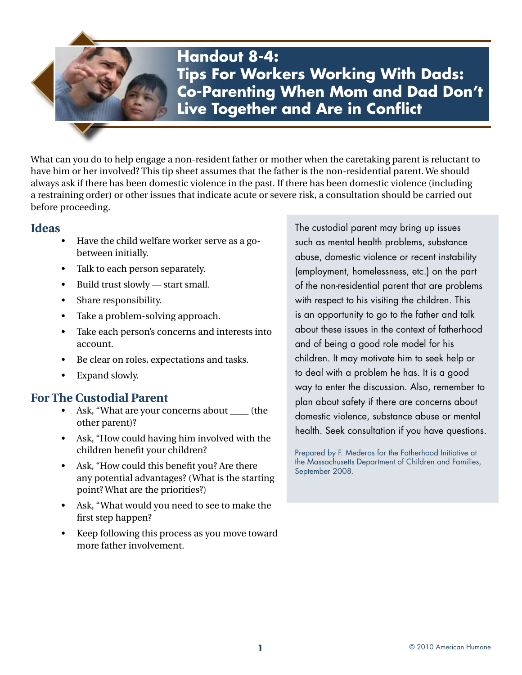**Handout 8-4: Tips For Workers Working With Dads: Co-Parenting When Mom and Dad Don't Live Together and Are in Conflict**

What can you do to help engage a non-resident father or mother when the caretaking parent is reluctant to have him or her involved? This tip sheet assumes that the father is the non-residential parent. We should always ask if there has been domestic violence in the past. If there has been domestic violence (including a restraining order) or other issues that indicate acute or severe risk, a consultation should be carried out before proceeding.

## **Ideas**

- Have the child welfare worker serve as a gobetween initially.
- Talk to each person separately.
- Build trust slowly start small.
- Share responsibility.
- Take a problem-solving approach.
- Take each person's concerns and interests into account.
- Be clear on roles, expectations and tasks.
- Expand slowly.

## **For The Custodial Parent**

- Ask, "What are your concerns about \_\_\_\_ (the other parent)?
- Ask, "How could having him involved with the children benefit your children?
- Ask, "How could this benefit you? Are there any potential advantages? (What is the starting point? What are the priorities?)
- Ask, "What would you need to see to make the first step happen?
- Keep following this process as you move toward more father involvement.

The custodial parent may bring up issues such as mental health problems, substance abuse, domestic violence or recent instability (employment, homelessness, etc.) on the part of the non-residential parent that are problems with respect to his visiting the children. This is an opportunity to go to the father and talk about these issues in the context of fatherhood and of being a good role model for his children. It may motivate him to seek help or to deal with a problem he has. It is a good way to enter the discussion. Also, remember to plan about safety if there are concerns about domestic violence, substance abuse or mental health. Seek consultation if you have questions.

Prepared by F. Mederos for the Fatherhood Initiative at the Massachusetts Department of Children and Families, September 2008.